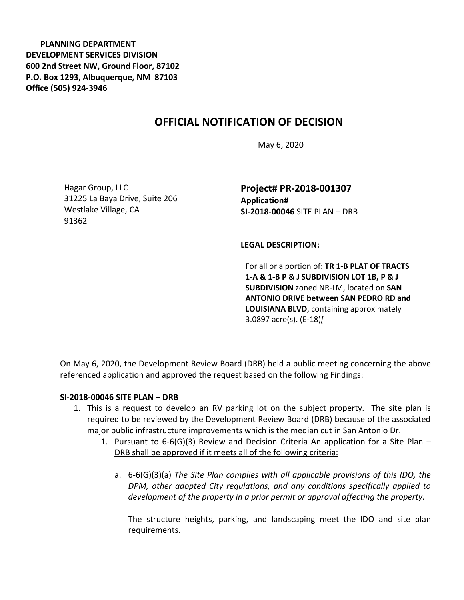**PLANNING DEPARTMENT DEVELOPMENT SERVICES DIVISION 600 2nd Street NW, Ground Floor, 87102 P.O. Box 1293, Albuquerque, NM 87103 Office (505) 924-3946** 

## **OFFICIAL NOTIFICATION OF DECISION**

May 6, 2020

Hagar Group, LLC 31225 La Baya Drive, Suite 206 Westlake Village, CA 91362

**Project# PR-2018-001307 Application# SI-2018-00046** SITE PLAN – DRB

## **LEGAL DESCRIPTION:**

For all or a portion of: **TR 1-B PLAT OF TRACTS 1-A & 1-B P & J SUBDIVISION LOT 1B, P & J SUBDIVISION** zoned NR-LM, located on **SAN ANTONIO DRIVE between SAN PEDRO RD and LOUISIANA BLVD**, containing approximately 3.0897 acre(s). (E-18)*[*

On May 6, 2020, the Development Review Board (DRB) held a public meeting concerning the above referenced application and approved the request based on the following Findings:

## **SI-2018-00046 SITE PLAN – DRB**

- 1. This is a request to develop an RV parking lot on the subject property. The site plan is required to be reviewed by the Development Review Board (DRB) because of the associated major public infrastructure improvements which is the median cut in San Antonio Dr.
	- 1. Pursuant to  $6-6(G)(3)$  Review and Decision Criteria An application for a Site Plan DRB shall be approved if it meets all of the following criteria:
		- a. 6-6(G)(3)(a) *The Site Plan complies with all applicable provisions of this IDO, the DPM, other adopted City regulations, and any conditions specifically applied to development of the property in a prior permit or approval affecting the property.*

The structure heights, parking, and landscaping meet the IDO and site plan requirements.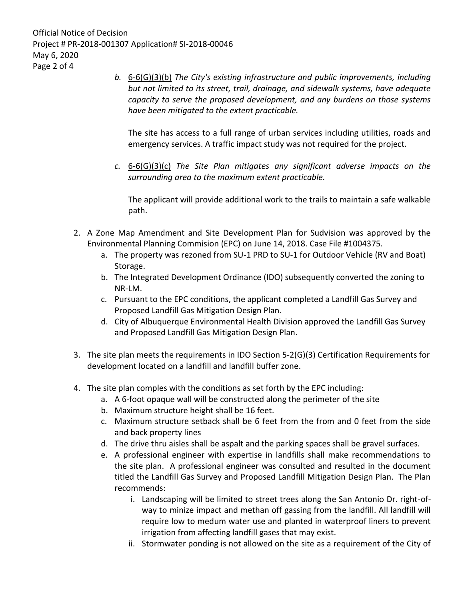Official Notice of Decision Project # PR-2018-001307 Application# SI-2018-00046 May 6, 2020 Page 2 of 4

> *b.* 6-6(G)(3)(b) *The City's existing infrastructure and public improvements, including but not limited to its street, trail, drainage, and sidewalk systems, have adequate capacity to serve the proposed development, and any burdens on those systems have been mitigated to the extent practicable.*

The site has access to a full range of urban services including utilities, roads and emergency services. A traffic impact study was not required for the project.

*c.* 6-6(G)(3)(c) *The Site Plan mitigates any significant adverse impacts on the surrounding area to the maximum extent practicable.* 

The applicant will provide additional work to the trails to maintain a safe walkable path.

- 2. A Zone Map Amendment and Site Development Plan for Sudvision was approved by the Environmental Planning Commision (EPC) on June 14, 2018. Case File #1004375.
	- a. The property was rezoned from SU-1 PRD to SU-1 for Outdoor Vehicle (RV and Boat) Storage.
	- b. The Integrated Development Ordinance (IDO) subsequently converted the zoning to NR-LM.
	- c. Pursuant to the EPC conditions, the applicant completed a Landfill Gas Survey and Proposed Landfill Gas Mitigation Design Plan.
	- d. City of Albuquerque Environmental Health Division approved the Landfill Gas Survey and Proposed Landfill Gas Mitigation Design Plan.
- 3. The site plan meets the requirements in IDO Section 5-2(G)(3) Certification Requirements for development located on a landfill and landfill buffer zone.
- 4. The site plan comples with the conditions as set forth by the EPC including:
	- a. A 6-foot opaque wall will be constructed along the perimeter of the site
	- b. Maximum structure height shall be 16 feet.
	- c. Maximum structure setback shall be 6 feet from the from and 0 feet from the side and back property lines
	- d. The drive thru aisles shall be aspalt and the parking spaces shall be gravel surfaces.
	- e. A professional engineer with expertise in landfills shall make recommendations to the site plan. A professional engineer was consulted and resulted in the document titled the Landfill Gas Survey and Proposed Landfill Mitigation Design Plan. The Plan recommends:
		- i. Landscaping will be limited to street trees along the San Antonio Dr. right-ofway to minize impact and methan off gassing from the landfill. All landfill will require low to medum water use and planted in waterproof liners to prevent irrigation from affecting landfill gases that may exist.
		- ii. Stormwater ponding is not allowed on the site as a requirement of the City of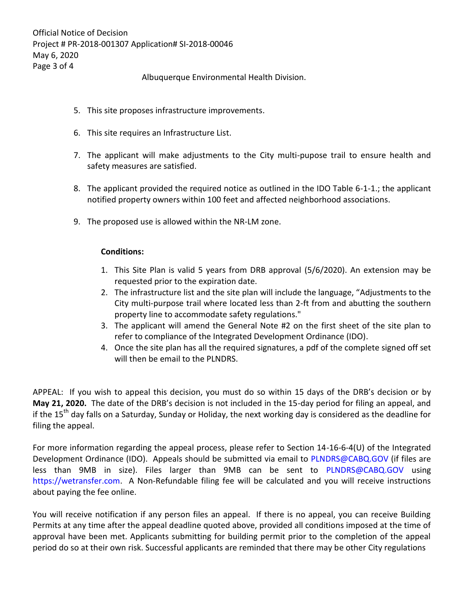Albuquerque Environmental Health Division.

- 5. This site proposes infrastructure improvements.
- 6. This site requires an Infrastructure List.
- 7. The applicant will make adjustments to the City multi-pupose trail to ensure health and safety measures are satisfied.
- 8. The applicant provided the required notice as outlined in the IDO Table 6-1-1.; the applicant notified property owners within 100 feet and affected neighborhood associations.
- 9. The proposed use is allowed within the NR-LM zone.

## **Conditions:**

- 1. This Site Plan is valid 5 years from DRB approval (5/6/2020). An extension may be requested prior to the expiration date.
- 2. The infrastructure list and the site plan will include the language, "Adjustments to the City multi-purpose trail where located less than 2-ft from and abutting the southern property line to accommodate safety regulations."
- 3. The applicant will amend the General Note #2 on the first sheet of the site plan to refer to compliance of the Integrated Development Ordinance (IDO).
- 4. Once the site plan has all the required signatures, a pdf of the complete signed off set will then be email to the PLNDRS.

APPEAL: If you wish to appeal this decision, you must do so within 15 days of the DRB's decision or by **May 21, 2020.** The date of the DRB's decision is not included in the 15-day period for filing an appeal, and if the 15<sup>th</sup> day falls on a Saturday, Sunday or Holiday, the next working day is considered as the deadline for filing the appeal.

For more information regarding the appeal process, please refer to Section 14-16-6-4(U) of the Integrated Development Ordinance (IDO). Appeals should be submitted via email to [PLNDRS@CABQ.GOV](mailto:PLNDRS@CABQ.GOV) (if files are less than 9MB in size). Files larger than 9MB can be sent to [PLNDRS@CABQ.GOV](mailto:PLNDRS@CABQ.GOV) using [https://wetransfer.com.](https://wetransfer.com/) A Non-Refundable filing fee will be calculated and you will receive instructions about paying the fee online.

You will receive notification if any person files an appeal. If there is no appeal, you can receive Building Permits at any time after the appeal deadline quoted above, provided all conditions imposed at the time of approval have been met. Applicants submitting for building permit prior to the completion of the appeal period do so at their own risk. Successful applicants are reminded that there may be other City regulations